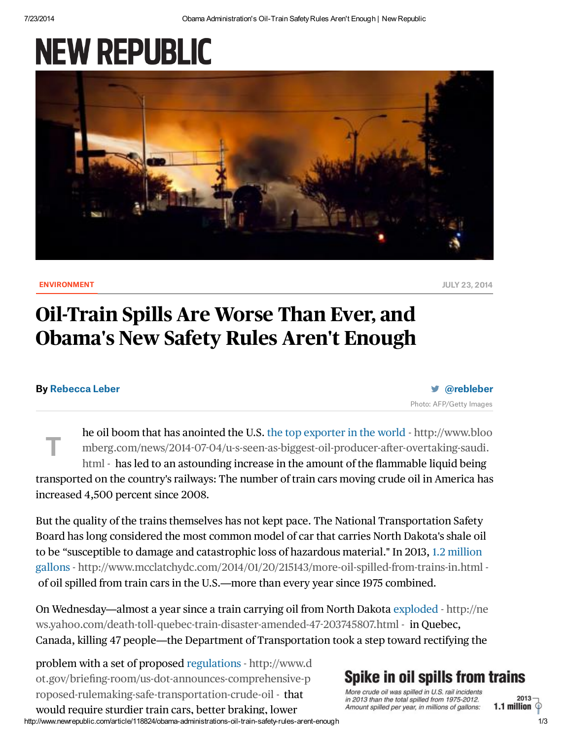# **NEW REPUBLIC**



 $\blacksquare$ [ENVIRONMENT](http://www.newrepublic.com/tags/environment) JULY 23, 2014

## Oil-Train Spills Are Worse Than Ever, and Obama's New Safety Rules Aren't Enough

#### By [Rebecca](http://www.newrepublic.com/authors/rebecca-leber) Leber

[@rebleber](https://twitter.com/rebleber) Photo: AFP/Getty Images

he oil boom that has anointed the U.S. the top exporter in the world - http://www.bloo mberg.com/news/2014-07-04/u-s-seen-as-biggest-oil-producer-after-overtaking-saudi. html - has led to an astounding increase in the amount of the flammable liquid being transported on the country's railways: The number of train cars moving crude oil in America has increased 4,500 percent since 2008. T

But the quality of the trains themselves has not kept pace. The National Transportation Safety Board has long considered the most common model of car that carries North Dakota's shale oil to be "susceptible to damage and catastrophic loss of hazardous material." In 2013, 1.2 million gallons - <http://www.mcclatchydc.com/2014/01/20/215143/more-oil-spilled-from-trains-in.html> of oil spilled from train cars in the U.S.—more than every year since 1975 combined.

On Wednesday—almost a year since a train carrying oil from North Dakota exploded - http://ne [ws.yahoo.com/death-toll-quebec-train-disaster-amended-47203745807.html](http://news.yahoo.com/death-toll-quebec-train-disaster-amended-47-203745807.html) - in Quebec, Canada, killing 47 people—the Department of Transportation took a step toward rectifying the

problem with a set of proposed regulations - http://www.d [ot.gov/briefing-room/us-dot-announces-comprehensive-p](http://www.dot.gov/briefing-room/us-dot-announces-comprehensive-proposed-rulemaking-safe-transportation-crude-oil) roposed-rulemaking-safe-transportation-crude-oil - that

#### http://www.newrepublic.com/article/118824/obama-administrations-oil-train-safety-rules-arent-enough 1/3 would require sturdier train cars, better braking, lower

### **Spike in oil spills from trains**

More crude oil was spilled in U.S. rail incidents in 2013 than the total spilled from 1975-2012. Amount spilled per year, in millions of gallons: